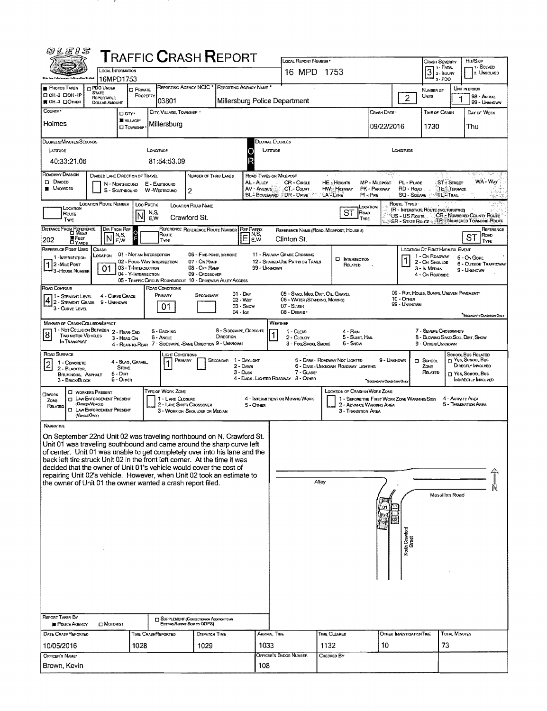| <b>@LEIS</b>                                                                                                                                                                                                                                                                                                                                                                                                                                                                                                                                   |                                                                              |                                                                                                      | <b>T</b> RAFFIC <b>C</b> RASH <b>R</b> EPORT                                  |                                                     | LOCAL REPORT NUMBER                                                                             |                                                                                   |                                                                         | <b>CRASH SEVERITY</b>                                                                |                                                    | HIT/SKIP                                                      |
|------------------------------------------------------------------------------------------------------------------------------------------------------------------------------------------------------------------------------------------------------------------------------------------------------------------------------------------------------------------------------------------------------------------------------------------------------------------------------------------------------------------------------------------------|------------------------------------------------------------------------------|------------------------------------------------------------------------------------------------------|-------------------------------------------------------------------------------|-----------------------------------------------------|-------------------------------------------------------------------------------------------------|-----------------------------------------------------------------------------------|-------------------------------------------------------------------------|--------------------------------------------------------------------------------------|----------------------------------------------------|---------------------------------------------------------------|
|                                                                                                                                                                                                                                                                                                                                                                                                                                                                                                                                                | LOCAL INFORMATION                                                            |                                                                                                      |                                                                               |                                                     | 16 MPD 1753                                                                                     |                                                                                   |                                                                         | $3$<br>$\overline{3}$<br>$\overline{2}$ - Injury                                     |                                                    | 1. SOLVED<br>2. UNSOLVED                                      |
| <b>C PDO UNDER</b><br><b>PHOTOS TAKEN</b>                                                                                                                                                                                                                                                                                                                                                                                                                                                                                                      | 16MPD1753<br><b>PRIVATE</b>                                                  |                                                                                                      | REPORTING AGENCY NCIC * REPORTING AGENCY NAME *                               |                                                     |                                                                                                 |                                                                                   |                                                                         | NUMBER OF                                                                            | 3-PDO                                              | UNIT IN ERROR                                                 |
| <b>STATE</b><br>D OH -2 DOH -1P<br>REPORTABLE<br>■ OH-3 口OTHER<br>DOLLAR AMOUNT                                                                                                                                                                                                                                                                                                                                                                                                                                                                | PROPERTY                                                                     | 03801                                                                                                | Millersburg Police Department                                                 |                                                     |                                                                                                 |                                                                                   | $\overline{2}$                                                          | UNITS                                                                                |                                                    | 98 - Animal<br>99 - UNKNOWN                                   |
| COUNTY*                                                                                                                                                                                                                                                                                                                                                                                                                                                                                                                                        | □ on·<br>WULAGE*                                                             | CITY, VILLAGE, TOWNSHIP *                                                                            |                                                                               |                                                     |                                                                                                 |                                                                                   | CRASH DATE *                                                            | <b>TIME OF CRASH</b>                                                                 |                                                    | Day of WEEK                                                   |
| Holmes                                                                                                                                                                                                                                                                                                                                                                                                                                                                                                                                         | <b>CI TOWNSHIP</b>                                                           | Millersburg                                                                                          |                                                                               |                                                     |                                                                                                 |                                                                                   | 09/22/2016                                                              | 1730                                                                                 |                                                    | Thu                                                           |
| DEGREES/MINUTES/SECONDS<br>LATTUDE                                                                                                                                                                                                                                                                                                                                                                                                                                                                                                             |                                                                              | LONGITUDE                                                                                            |                                                                               | Decimal Degrees<br>LATTUDE                          |                                                                                                 |                                                                                   | LONGITUDE                                                               |                                                                                      |                                                    |                                                               |
| 40:33:21.06                                                                                                                                                                                                                                                                                                                                                                                                                                                                                                                                    |                                                                              | 81:54:53.09                                                                                          |                                                                               |                                                     |                                                                                                 |                                                                                   |                                                                         |                                                                                      |                                                    |                                                               |
| ROADWAY DIVISION<br><b>D</b> DIVIDED<br><b>UNDIVIDED</b>                                                                                                                                                                                                                                                                                                                                                                                                                                                                                       | <b>DIVIDED LANE DIRECTION OF TRAVEL</b><br>N - Northbound<br>S - Southsourn  | E - EASTBOUND<br>W-WESTBOUND<br>2                                                                    | NUMBER OF THRU LANES                                                          | ROAD TYPES OR MILEPOST<br>AL - ALLEY<br>AV - AVENUE | CR - CIRCLE<br>CT - Court<br>BL - BOULEVARD DR - DRIVE                                          | HE - Heights<br><b>HW - Highway</b><br>LA - LANE                                  | PL-Puce<br>MP - MILEPOST<br>RD - Roap<br>PK - PARKWAY<br>$PI - P_{IKE}$ | SQ - SQUARE                                                                          | <b>ST-STREET</b><br><b>TE-TERRACE</b><br>®TL‴Trail | 缘。<br>WA - War<br>-50                                         |
| <b>LOCATION ROUTE NUMBER</b><br>LOCATION<br>Route<br>Түре                                                                                                                                                                                                                                                                                                                                                                                                                                                                                      | Loc Prefix<br>N,S,<br>EW                                                     | LOCATION ROAD NAME<br>Crawford St.                                                                   |                                                                               |                                                     |                                                                                                 | ST<br>ROAD<br>TYPE                                                                | ROUTE TYPES:<br>LOCATION<br>US - US Route<br><b>SR - State Route</b>    | IR - INTERSTATE ROUTE (INC. TURNPIKE)                                                |                                                    | CR - NUMBERED COUNTY ROUTE<br>TR - NUMBERED TOWNSHIP ROUTE    |
| DISTANCE FROM REFERENCE<br><b>D</b> FEET<br>202                                                                                                                                                                                                                                                                                                                                                                                                                                                                                                | DIR FROM REF<br>N,S,<br>E,W                                                  | REFERENCE REFERENCE ROUTE NUMBER<br>Route<br>TYPE                                                    | <b>REF PREFIX</b><br>$E_{\text{EW}}^{\text{NS}}$                              | E, W                                                | Clinton St.                                                                                     | REFERENCE NAME (ROAD, MILEPOST, HOUSE #)                                          |                                                                         |                                                                                      |                                                    | REFERENCE<br>Road<br>ST<br>TYPE                               |
| REFERENCE POINT USED<br>CRASH<br>LOCATION<br>1-INTERSECTION<br>2-MILE POST<br>01<br><sup>1</sup> 3 - House Number                                                                                                                                                                                                                                                                                                                                                                                                                              | 01 - NOTAN INTERSECTION<br>02 - FOUR-WAY INTERSECTION<br>03 - T-INTERSECTION |                                                                                                      | 06 - FIVE-POINT, OR MORE<br>07 - On Ramp<br>08 - Off RAMP                     | 99 - UNKNOWN                                        | 11 - RAILWAY GRADE CROSSING<br>12 - SHARED-USE PATHS OR TRAILS                                  | <b>CI INTERSECTION</b><br>RELATED                                                 |                                                                         | LOCATION OF FIRST HARMFUL EVENT<br>1 - On ROADWAY<br>2 - On Shoulde<br>3 - In MEDIAN |                                                    | 5 - On Gone<br><b>6 - OUTSIDE TRAFFICWAY</b><br>9 - UNXNOWN   |
|                                                                                                                                                                                                                                                                                                                                                                                                                                                                                                                                                | 04 - Y-INTERSECTION                                                          |                                                                                                      | 09 - CROSSOVER<br>05 - TRAFFIC CIRCLE/ ROUNDABOUT 10 - DRIVEWAY/ ALLEY ACCESS |                                                     |                                                                                                 |                                                                                   |                                                                         | 4 - ON ROADSIDE                                                                      |                                                    |                                                               |
| ROAD CONTOUR<br>1 - STRAIGHT LEVEL<br>$4 2 -$ Straight Grade<br><b>9 - UNKNOWN</b><br>3 - Curve Level                                                                                                                                                                                                                                                                                                                                                                                                                                          | 4 - CURVE GRADE                                                              | ROAD CONDITIONS<br>Primary<br>01                                                                     | $01 - Draw$<br>SECONDARY<br>02 - WET<br>$03 -$ SNOW<br>$04 - \text{lcc}$      |                                                     | 05 - SAND, MUD, DIRT, OIL, GRAVEL<br>06 - WATER (STANDING, MOVING)<br>07 - SLUSH<br>08 - DEBRIS |                                                                                   | <b>10 - OTHER</b><br>99 - Unknown                                       | 09 - RUT, HOLES, BUMPS, UNEVEN PAVEMENT*                                             |                                                    |                                                               |
| MANNER OF CRASH COLLISION/MPACT<br>1 - NOT COLUSION BETWEEN 2 - REAR-END<br>$\overline{8}$<br><b>TWO MOTOR VEHICLES</b><br>IN TRANSPORT                                                                                                                                                                                                                                                                                                                                                                                                        | 3 - HEAD-ON                                                                  | 5 - BACKING<br>6 - Angle<br>4 - REAR-TO-REAR 7 - SIDESWIPE, -SAME DIRECTION 9 - UNKNOWN              | 8 - Sideswipe, Opposite<br>DIRECTION                                          |                                                     | WEATHER<br>1 - CLEAR<br>2 - CLOUDY<br>3 - Fog Smog, Smoke                                       | 4 - Rain<br>5 - SLEET, HAIL<br>6 - Snow                                           |                                                                         | 7 - SEVERE CROSSWINDS<br>8 - BLOWING SAND, SCG., DIRT, SNOW<br>9 - OTHER/UNKNOWN     |                                                    | SECONDARY CONDITION ONLY                                      |
| ROAD SURFACE                                                                                                                                                                                                                                                                                                                                                                                                                                                                                                                                   |                                                                              | Light Conditions<br>PRIMARY                                                                          | 1 - DAYLIGHT<br>Secondar                                                      |                                                     |                                                                                                 | 5 - DARK - ROADWAY NOT LIGHTED                                                    | 9 - UNKNOWN                                                             | $\square$ SCHOOL                                                                     |                                                    | SCHOOL BUS RELATED<br>T YES, SCHOOL BUS                       |
| 1 - CONCRETE<br>$\overline{\mathcal{Z}}$<br>2 - BLACKTOP,<br>BITUMINOUS, ASPHALT<br>3 - BRICK/BLOCK                                                                                                                                                                                                                                                                                                                                                                                                                                            | 4 - SLAG, GRAVEL,<br>Store<br>$5 -$ Dın $r$<br>6 - OTHER                     |                                                                                                      | 2 - Dawn<br>$3 - D$ us $\kappa$                                               |                                                     | 7 - GLARE*<br>4 - DARK - LIGHTED ROADWAY 8 - OTHER                                              | 6 - DARK - UMKNOWN ROADWAY LIGHTING                                               | "Second ARY CONDITION ONLY                                              | Zone<br>RELATED                                                                      |                                                    | DIRECTLY INVOLVED<br>T YES, SCHOOL BUS<br>INDIRECTLY INVOLVED |
| <b>C WORKERS PRESENT</b><br><b>CIWORK</b><br><b>CI LAW ENFORCEMENT PRESENT</b><br>ZONE<br>(Officen/Venuxe)<br>RELATED<br><b>CI LAW ENFORCEMENT PRESENT</b><br>(VENCLEONLY)                                                                                                                                                                                                                                                                                                                                                                     |                                                                              | TYPE OF WORK ZONE<br>1 - LANE CLOSURE<br>2 - LANE SHIFT/ CROSSOVER<br>3 - WORK ON SHOULDER OR MEDIAN |                                                                               | 5 - Onien                                           | 4 - INTERMITTENT OR MOVING WORK                                                                 | LOCATION OF CRASH IN WORK ZONE<br>2 - ADVANCE WARNING AREA<br>3 - TRANSITION AREA | 1 - BEFORE THE FIRST WORK ZONE WARNING SIGN                             |                                                                                      | 4 - ACTIVITY AREA                                  | 5 - TERMINATION AREA                                          |
| <b>NARRATIVE</b><br>On September 22nd Unit 02 was traveling northbound on N. Crawford St.<br>Unit 01 was traveling southbound and came around the sharp curve left<br>of center. Unit 01 was unable to get completely over into his lane and the<br>back left tire struck Unit 02 in the front left corner. At the time it was<br>decided that the owner of Unit 01's vehicle would cover the cost of<br>repairing Unit 02's vehicle. However, when Unit 02 took an estimate to<br>the owner of Unit 01 the owner wanted a crash report filed. |                                                                              |                                                                                                      |                                                                               |                                                     |                                                                                                 | Alley                                                                             |                                                                         |                                                                                      | Massillon Road                                     |                                                               |
| REPORT TAKEN BY<br>POLICE AGENCY<br>$\Box$ MOTORIST                                                                                                                                                                                                                                                                                                                                                                                                                                                                                            |                                                                              | SUPPLEMENT (CORRECTION OF ADDITION TO AN<br>Existiwa Report Sent to ODPS)                            |                                                                               |                                                     |                                                                                                 |                                                                                   |                                                                         |                                                                                      |                                                    |                                                               |
| DATE CRASHREPORTED<br>10/05/2016                                                                                                                                                                                                                                                                                                                                                                                                                                                                                                               | <b>TIME CRASHREPORTED</b><br>1028                                            |                                                                                                      | DISPATCH TIME<br>1029                                                         | <b>ARRIVAL TIME</b><br>1033                         |                                                                                                 | TIME CLEARED<br>1132                                                              | OTHER INVESTIGATION TIME<br>10                                          |                                                                                      | <b>TOTAL MINUTES</b><br>73                         |                                                               |
| OFFICER'S NAME*                                                                                                                                                                                                                                                                                                                                                                                                                                                                                                                                |                                                                              |                                                                                                      |                                                                               |                                                     | <b>OFFICER'S BADGE NUMBER</b>                                                                   | CHECKED BY                                                                        |                                                                         |                                                                                      |                                                    |                                                               |
| Brown, Kevin                                                                                                                                                                                                                                                                                                                                                                                                                                                                                                                                   |                                                                              |                                                                                                      |                                                                               | 108                                                 |                                                                                                 |                                                                                   |                                                                         |                                                                                      |                                                    |                                                               |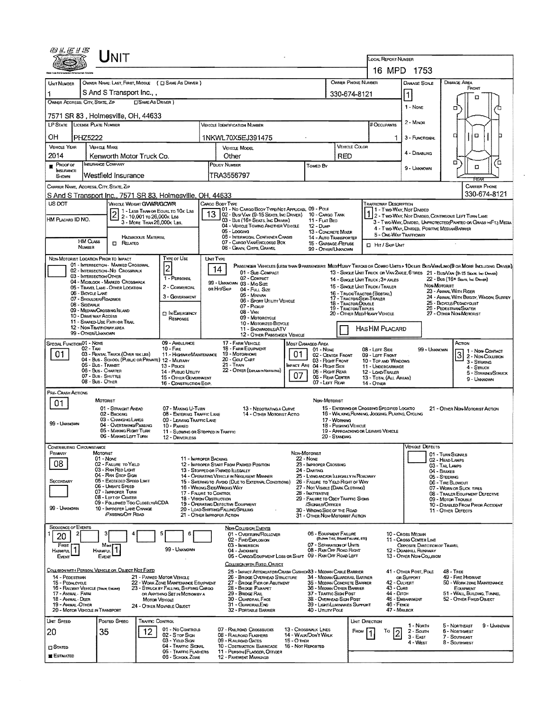| 0LE1S                                                                                                                                               |                                                                                 |                                                                           |                            |                                                                          |                           |                                                                                                                                |                                                                                                                                  |                                                                                                                     |                                                               |                                                                                          |                        | <b>LOCAL REPORT NUMBER</b>                                                                                                                        |                                                                                                                   |                                                                                                                                                                                                                   |  |  |  |
|-----------------------------------------------------------------------------------------------------------------------------------------------------|---------------------------------------------------------------------------------|---------------------------------------------------------------------------|----------------------------|--------------------------------------------------------------------------|---------------------------|--------------------------------------------------------------------------------------------------------------------------------|----------------------------------------------------------------------------------------------------------------------------------|---------------------------------------------------------------------------------------------------------------------|---------------------------------------------------------------|------------------------------------------------------------------------------------------|------------------------|---------------------------------------------------------------------------------------------------------------------------------------------------|-------------------------------------------------------------------------------------------------------------------|-------------------------------------------------------------------------------------------------------------------------------------------------------------------------------------------------------------------|--|--|--|
|                                                                                                                                                     |                                                                                 |                                                                           |                            |                                                                          |                           |                                                                                                                                |                                                                                                                                  |                                                                                                                     |                                                               |                                                                                          |                        |                                                                                                                                                   | 16 MPD 1753                                                                                                       |                                                                                                                                                                                                                   |  |  |  |
|                                                                                                                                                     |                                                                                 |                                                                           |                            |                                                                          |                           |                                                                                                                                |                                                                                                                                  |                                                                                                                     |                                                               |                                                                                          | OWNER PHONE NUMBER     |                                                                                                                                                   |                                                                                                                   | <b>DAMAGE AREA</b>                                                                                                                                                                                                |  |  |  |
| <b>UNT NUMBER</b>                                                                                                                                   | OWNER NAME: LAST FIRST MIDDLE ( C SAME AS DRIVER )<br>S And S Transport Inc., , |                                                                           |                            |                                                                          |                           |                                                                                                                                |                                                                                                                                  |                                                                                                                     |                                                               |                                                                                          |                        |                                                                                                                                                   | DAMAGE SCALE                                                                                                      | FRONT                                                                                                                                                                                                             |  |  |  |
| OWNER ADDRESS: CITY, STATE, ZIP                                                                                                                     |                                                                                 |                                                                           | <b>CISAME AS DRIVER</b> )  |                                                                          |                           |                                                                                                                                |                                                                                                                                  |                                                                                                                     |                                                               |                                                                                          | 330-674-8121           |                                                                                                                                                   | $\vert$ 1                                                                                                         | D                                                                                                                                                                                                                 |  |  |  |
|                                                                                                                                                     |                                                                                 | 7571 SR 83, Holmesville, OH, 44633                                        |                            |                                                                          |                           |                                                                                                                                |                                                                                                                                  |                                                                                                                     |                                                               |                                                                                          |                        |                                                                                                                                                   | 1 - Nove                                                                                                          | □                                                                                                                                                                                                                 |  |  |  |
| LP STATE LICENSE PLATE NUMBER                                                                                                                       |                                                                                 |                                                                           |                            |                                                                          |                           | <b>VEHICLE IDENTIFICATION NUMBER</b>                                                                                           |                                                                                                                                  |                                                                                                                     |                                                               |                                                                                          |                        | # Occupants                                                                                                                                       | $2 -$ MINOR                                                                                                       |                                                                                                                                                                                                                   |  |  |  |
| OH                                                                                                                                                  | PHZ5222                                                                         |                                                                           |                            |                                                                          |                           | 1NKWL70X5EJ391475                                                                                                              |                                                                                                                                  |                                                                                                                     |                                                               |                                                                                          |                        |                                                                                                                                                   | 3 - FUNCTIONAL                                                                                                    | $\Box$<br>о                                                                                                                                                                                                       |  |  |  |
| <b>VEHICLE YEAR</b>                                                                                                                                 |                                                                                 | <b>VEHICLE MAKE</b>                                                       |                            |                                                                          |                           | VEHICLE MODEL                                                                                                                  |                                                                                                                                  |                                                                                                                     |                                                               |                                                                                          | VEHICLE COLOR          |                                                                                                                                                   |                                                                                                                   |                                                                                                                                                                                                                   |  |  |  |
| 2014<br>Kenworth Motor Truck Co.                                                                                                                    |                                                                                 |                                                                           |                            |                                                                          |                           | Other                                                                                                                          |                                                                                                                                  |                                                                                                                     |                                                               | RED                                                                                      |                        |                                                                                                                                                   | 4 - DISABLING                                                                                                     |                                                                                                                                                                                                                   |  |  |  |
| INSURANCE COMPANY<br>$P$ ROOF OF<br><b>INSURANCE</b>                                                                                                |                                                                                 |                                                                           |                            |                                                                          | <b>POLICY NUMBER</b>      |                                                                                                                                |                                                                                                                                  | Towed By                                                                                                            |                                                               |                                                                                          |                        | 9 - Unknown                                                                                                                                       | ۵<br>ם<br>о                                                                                                       |                                                                                                                                                                                                                   |  |  |  |
| Shown                                                                                                                                               |                                                                                 | Westfield Insurance                                                       |                            |                                                                          |                           | TRA3556797                                                                                                                     |                                                                                                                                  |                                                                                                                     |                                                               |                                                                                          |                        | REAR                                                                                                                                              |                                                                                                                   |                                                                                                                                                                                                                   |  |  |  |
| <b>CARRIER PHONE</b><br>CARRIER NAME, ADDRESS, CITY, STATE, ZIP<br>330-674-8121<br>S And S Transport Inc., 7571 SR 83, Holmesville, OH, 44633       |                                                                                 |                                                                           |                            |                                                                          |                           |                                                                                                                                |                                                                                                                                  |                                                                                                                     |                                                               |                                                                                          |                        |                                                                                                                                                   |                                                                                                                   |                                                                                                                                                                                                                   |  |  |  |
| US DOT                                                                                                                                              |                                                                                 | VEICOLE WEIGHT GWWR/GCWR                                                  |                            |                                                                          |                           | CARGO BODY TYPE                                                                                                                |                                                                                                                                  |                                                                                                                     |                                                               |                                                                                          |                        | TRAFFICWAY DESCRIPTION                                                                                                                            |                                                                                                                   |                                                                                                                                                                                                                   |  |  |  |
|                                                                                                                                                     |                                                                                 |                                                                           | 2 - 10,001 to 26,000k Lss  | 1 - LESS THAN OR EOUAL TO 10K LBS                                        |                           | <b>701 - No CARGO BODY TYPE/NOT APPLICABL 09 - POLE</b><br>02 - Bus/Van (9-15 Seats, Inc Driver)                               |                                                                                                                                  |                                                                                                                     | 10 - Cargo Tank                                               |                                                                                          |                        | 1 - Two-Way, Not Divided                                                                                                                          | 2 - TWO-WAY, NOT DIVIDED, CONTINUOUS LEFT TURN LANE                                                               |                                                                                                                                                                                                                   |  |  |  |
| HM PLACARD ID NO.                                                                                                                                   |                                                                                 |                                                                           | 3 - MORE THAN 26,000K LBS. |                                                                          |                           | 03 - Bus (16+ Seats, Ing Driver)<br>04 - VEHICLE TOWING ANOTHER VEHICLE                                                        |                                                                                                                                  |                                                                                                                     | 11 - FLAT BED<br>12 - Dump                                    |                                                                                          |                        |                                                                                                                                                   | 3 - T WO-WAY, DIVIDEO, UNPROTECTED (PAINTED OR GRASS >4FT.) MEDIA<br>4 - Two-Way, DIVIDED, POSITIVE MEDIANBARRIER |                                                                                                                                                                                                                   |  |  |  |
|                                                                                                                                                     | <b>HM Cuss</b>                                                                  |                                                                           | <b>HAZARDOUS MATERIAL</b>  |                                                                          |                           | 05 - Loccina<br>05 - INTERMODAL CONTAINER CHASIS                                                                               |                                                                                                                                  |                                                                                                                     | 13 - CONCRETE MIXER<br><b>14 - AUTO TRANSPORTER</b>           |                                                                                          |                        | <b>5 - ONE-WAY TRAFFICWAY</b>                                                                                                                     |                                                                                                                   |                                                                                                                                                                                                                   |  |  |  |
|                                                                                                                                                     | <b>NUMBER</b>                                                                   | RELATED                                                                   |                            |                                                                          |                           | 07 - CARGO VAN/ENCLOSED BOX<br>08 - GRAIN, CHIPS, GRAVEL                                                                       |                                                                                                                                  |                                                                                                                     | 15 - GARBAGE /REFUSE<br>99 - OTHER/UNKNOWN                    |                                                                                          |                        | <b>El Hir / Sign Unit</b>                                                                                                                         |                                                                                                                   |                                                                                                                                                                                                                   |  |  |  |
| NON-MOTORIST LOCATION PRIOR TO IMPACT                                                                                                               |                                                                                 |                                                                           |                            | TYPE OF USE                                                              |                           | UNIT TYPE                                                                                                                      |                                                                                                                                  |                                                                                                                     |                                                               |                                                                                          |                        |                                                                                                                                                   |                                                                                                                   |                                                                                                                                                                                                                   |  |  |  |
|                                                                                                                                                     |                                                                                 | 01 - INTERSECTION - MARKED CROSSWAL<br>02 - INTERSECTION - NO CROSSWALK   |                            | $\overline{c}$                                                           |                           | 14                                                                                                                             | 01 - Sue-Compact                                                                                                                 |                                                                                                                     |                                                               |                                                                                          |                        |                                                                                                                                                   |                                                                                                                   | PASSENGER VEHICLES (LESS THAN 9 PASSENGERS MEDIMEANY TRUCKS OR COMBO UNTS > 10KLBS BUS/VANLIMO(9 OR MORE INCLUDING DRIVER).<br>13 - SINGLE LINT TRUCK OR VAN 2AXLE, 6 TIRES 21 - BUS/VAN (9-15 SEATS, INC DRIVER) |  |  |  |
|                                                                                                                                                     | 03 - INTERSECTION OTHER                                                         | 04 - MIOBLOCK - MARKED CROSSWALK                                          |                            | 1 - PERSONAL                                                             |                           | 02 - COMPACT<br>99 - UNKNOWN 03 - Mio Size                                                                                     |                                                                                                                                  |                                                                                                                     |                                                               |                                                                                          |                        | 14 - SINGLE UNIT TRUCK; 3+ AXLES                                                                                                                  |                                                                                                                   | 22 - Bus (16+ Sears, Inc Driver)                                                                                                                                                                                  |  |  |  |
|                                                                                                                                                     | 06 - BICYCLE LANE                                                               | 05 - TRAVEL LANE - OTHER LOCATION                                         |                            | 2 - COMMERCIAL<br>3 - GOVERNMENT                                         |                           | or Hit/Skip<br>04 - FULL SIZE<br>05 - Minivan                                                                                  |                                                                                                                                  |                                                                                                                     |                                                               |                                                                                          |                        | NON-MOTORIST<br>15 - SINGLE UNIT TRUCK/TRAILER<br>23 - ANIMAL WITH RIDER<br>16 - TRUCK/TRACTOR (BOBTAIL)<br>24 - ANIMAL WITH BUGGY, WAGON, SURREY |                                                                                                                   |                                                                                                                                                                                                                   |  |  |  |
| 07 - SHOULDER/ROADSIDE<br>06 - Sport Utility VEHICLE<br>08 - Sidewalk<br>07 - Pickup                                                                |                                                                                 |                                                                           |                            |                                                                          |                           |                                                                                                                                |                                                                                                                                  |                                                                                                                     |                                                               |                                                                                          | 19 - TRACTOR/TRIPLES   | 17 - TRACTOR/SEMI-TRAILER<br>18 - TRACTOR/DOUBLE                                                                                                  |                                                                                                                   | 25 - BICYCLE/PEDACYCLIST<br>26 - PEDESTRIAN/SKATER                                                                                                                                                                |  |  |  |
| 09 - MEDIAN CROSSING ISLAND<br><b>CIN EMERGENCY</b><br>10 - DAIVE WAY ACCESS<br>RESPONSE                                                            |                                                                                 |                                                                           |                            |                                                                          |                           | 08 - VAN<br>09 - MOTORCYCLE                                                                                                    |                                                                                                                                  |                                                                                                                     |                                                               |                                                                                          |                        | 20 - OTHER MEDIHEAVY VEHICLE                                                                                                                      |                                                                                                                   | 27 - OTHER NON-MOTORIST                                                                                                                                                                                           |  |  |  |
| 11 - SHARED-USE PATH OR TRAIL<br>10 - Motorizeo Bicycle<br>12 - NON-TRAFFICWAY AREA<br>Has HM Placard<br>11 - SNOWMOBILE/ATV                        |                                                                                 |                                                                           |                            |                                                                          |                           |                                                                                                                                |                                                                                                                                  |                                                                                                                     |                                                               |                                                                                          |                        |                                                                                                                                                   |                                                                                                                   |                                                                                                                                                                                                                   |  |  |  |
| 99 - OTHER/UNKNOWN<br>12 - OTHER PASSENGER VEHICLE<br>SPECIAL FUNCTION 01 - NONE<br>09 - AMBULANCE<br>17 - FARM VEHICLE<br><b>MOST DAMAGED AREA</b> |                                                                                 |                                                                           |                            |                                                                          |                           |                                                                                                                                |                                                                                                                                  |                                                                                                                     |                                                               | Астюм                                                                                    |                        |                                                                                                                                                   |                                                                                                                   |                                                                                                                                                                                                                   |  |  |  |
| 02 - TAXI<br>$10 -$ Fine<br>01<br>03 - RENTAL TRUCK (OVER 10K LBS)<br>11 - HIGHWAY/MANTENANCE                                                       |                                                                                 |                                                                           |                            |                                                                          |                           | <b>18 - FARM EQUIPMENT</b><br>01 - NONE<br>19 - Мотояноме<br>01<br>02 - CENTER FRONT                                           |                                                                                                                                  |                                                                                                                     |                                                               |                                                                                          |                        | 08 - LEFT SIDE<br>09 - LEFT FRONT                                                                                                                 | 99 - UNKNOWN                                                                                                      | 1 - NON-CONTACT<br>3                                                                                                                                                                                              |  |  |  |
|                                                                                                                                                     |                                                                                 | 04 - Bus - SCHOOL (PUBLIC OR PRIVATE) 12 - MILITARY<br>05 - Bus - Transit |                            | 13 - Pouce                                                               |                           | 20 - Golf Cart<br>21 - TRAIN                                                                                                   |                                                                                                                                  |                                                                                                                     | 03 - RIGHT FRONT<br>IMPACT ARE 04 - RIGHT SIDE                |                                                                                          |                        | 10 - TOP AND WINDOWS<br>11 - UNDERCARRIAGE                                                                                                        |                                                                                                                   | 2 - Non-Collision<br>3 - STRIKING<br>4 - STRUCK                                                                                                                                                                   |  |  |  |
| 06 - Bus - Charter<br>14 - Pusuc Unury<br>07 - Bus - SHUTTLE<br>15 - OTHER GOVERNMENT                                                               |                                                                                 |                                                                           |                            |                                                                          |                           | 22 - OTHER (EXPLANIN NARRATIVE)                                                                                                |                                                                                                                                  | 07                                                                                                                  | 05 - RIGHT REAR<br>06 - REAR CENTER                           |                                                                                          |                        | 12 - LOAD/TRAILER<br>13 - TOTAL (ALL AREAS)                                                                                                       | 5 - STRIKING/STRUCK<br>9 - Unknown                                                                                |                                                                                                                                                                                                                   |  |  |  |
|                                                                                                                                                     | 08 - Bus - OTHER                                                                |                                                                           |                            | 16 - CONSTRUCTION EOIP.                                                  |                           |                                                                                                                                |                                                                                                                                  |                                                                                                                     | 07 - LEFT REAR                                                |                                                                                          |                        | <b>14 - Onen</b>                                                                                                                                  |                                                                                                                   |                                                                                                                                                                                                                   |  |  |  |
| PRE- CRASH ACTIONS                                                                                                                                  |                                                                                 | MOTORIST                                                                  |                            |                                                                          |                           |                                                                                                                                |                                                                                                                                  |                                                                                                                     | Non-Motorist                                                  |                                                                                          |                        |                                                                                                                                                   |                                                                                                                   |                                                                                                                                                                                                                   |  |  |  |
| 01                                                                                                                                                  |                                                                                 | 01 - STRAIGHT AHEAD<br>02 - BACKING                                       |                            | 07 - MAKING U-TURN<br>08 - ENTERING TRAFFIC LANE                         |                           |                                                                                                                                | 13 - NEGOTIATING A CURVE                                                                                                         |                                                                                                                     |                                                               |                                                                                          |                        | 15 - ENTERING OR CROSSING SPECIFIED LOCATIO                                                                                                       |                                                                                                                   | 21 - OTHER NON-MOTORIST ACTION                                                                                                                                                                                    |  |  |  |
| 99 - UNKNOWN                                                                                                                                        |                                                                                 | 03 - CHANGING LANES<br>04 - OVERTAKING PASSING                            |                            | 09 - LEAVING TRAFFIC LANE<br>10 - PARKED                                 | 14 - OTHER MOTORIST ACTIO |                                                                                                                                |                                                                                                                                  |                                                                                                                     |                                                               | 16 - WALKING, RUNNING, JOGGING, PLAYING, CYCLING<br>17 - Working<br>18 - Pushing Vehicle |                        |                                                                                                                                                   |                                                                                                                   |                                                                                                                                                                                                                   |  |  |  |
|                                                                                                                                                     |                                                                                 | 05 - MAKING RIGHT TURN<br>06 - MAKING LEFT TURN                           |                            | 11 - SLOWING OR STOPPED IN TRAFFIC<br>12 - DRIVERLESS                    |                           |                                                                                                                                |                                                                                                                                  |                                                                                                                     |                                                               | 20 - Standing                                                                            |                        | 19 - APPROACHING OR LEAVING VEHICLE                                                                                                               |                                                                                                                   |                                                                                                                                                                                                                   |  |  |  |
| CONTRIBUTING CIRCUMSTANCE                                                                                                                           |                                                                                 |                                                                           |                            |                                                                          |                           |                                                                                                                                |                                                                                                                                  |                                                                                                                     |                                                               |                                                                                          |                        |                                                                                                                                                   | <b>VECGE DEFECTS</b>                                                                                              |                                                                                                                                                                                                                   |  |  |  |
| Primary                                                                                                                                             |                                                                                 | MOTORIST<br>01 - Nove                                                     |                            | 11 - IMPROPER BACKING                                                    |                           |                                                                                                                                |                                                                                                                                  | Non-Motorist<br>$22 -$ None                                                                                         |                                                               |                                                                                          |                        |                                                                                                                                                   |                                                                                                                   | 01 - TURN SIGNALS                                                                                                                                                                                                 |  |  |  |
| 08                                                                                                                                                  |                                                                                 | 02 - FALURE TO YIELD<br>03 - RAN RED LIGHT                                |                            |                                                                          |                           | 12 - IMPROPER START FROM PARKED POSITION<br>23 - IMPROPER CROSSING<br>13 - Stopped or Parkeo ILLEGALLY<br>24 - DARTING         |                                                                                                                                  |                                                                                                                     |                                                               |                                                                                          |                        |                                                                                                                                                   |                                                                                                                   | 02 - HEAD LAMPS<br>03 - TAIL LAMPS                                                                                                                                                                                |  |  |  |
| SECONDARY                                                                                                                                           |                                                                                 | 04 - RAN STOP SIGN<br>05 - Exceeded Speed Limit                           |                            |                                                                          |                           | 14 - OPERATING VEHICLE IN NEGLIGENT MANNER                                                                                     | 25 - LYING ANDIOR LLEGALLY IN ROADWAY<br>15 - SWERING TO AVOID (DUE TO EXTERNAL CONDITIONS)<br>26 - FALURE TO YIELD RIGHT OF WAY |                                                                                                                     |                                                               |                                                                                          |                        |                                                                                                                                                   | 04 - BRAKES<br>05 - STEERING<br>06 - TIRE BLOWOUT                                                                 |                                                                                                                                                                                                                   |  |  |  |
|                                                                                                                                                     |                                                                                 | 06 - UNSAFE SPEED<br>07 - IMPROPER TURN                                   |                            | 17 - FALURE TO CONTROL                                                   |                           | 16 - WRONG SIDE/WRONG WAY                                                                                                      |                                                                                                                                  | 27 - Not Visible (DARK CLOTHING)<br>07 - WORN OR SUCK TIRES<br>28 - Inattentive<br>08 - TRAILER EQUIPMENT DEFECTIVE |                                                               |                                                                                          |                        |                                                                                                                                                   |                                                                                                                   |                                                                                                                                                                                                                   |  |  |  |
|                                                                                                                                                     |                                                                                 | 08 - LEFT OF CENTER<br>09 - FOLLOWED TOO CLOSELY/ACDA                     |                            |                                                                          |                           | <b>18 - VISION OBSTRUCTION</b><br>29 - FAILURE TO OBEY TRAFFIC SIGNS<br>19 - OPERATING DEFECTIVE EQUIPMENT<br>/Signals/Officer |                                                                                                                                  |                                                                                                                     |                                                               |                                                                                          |                        | 09 - MOTOR TROUBLE<br>10 - DISABLED FROM PRIOR ACCIDENT                                                                                           |                                                                                                                   |                                                                                                                                                                                                                   |  |  |  |
| 99 - Unknown                                                                                                                                        |                                                                                 | 10 - IMPROPER LANE CHANGE<br><b>PASSING OFF ROAD</b>                      |                            |                                                                          |                           | 20 - LOAD SHIFTING/FALLING/SPILLING<br>21 - OTHER IMPROPER ACTION                                                              |                                                                                                                                  |                                                                                                                     | 30 - WRONG SIDE OF THE ROAD<br>31 - OTHER NON-MOTORIST ACTION |                                                                                          |                        |                                                                                                                                                   |                                                                                                                   | 11 - OTHER DEFECTS                                                                                                                                                                                                |  |  |  |
| <b>SEQUENCE OF EVENTS</b>                                                                                                                           |                                                                                 |                                                                           |                            |                                                                          |                           | <b>NON-COLLISION EVENTS</b>                                                                                                    |                                                                                                                                  |                                                                                                                     |                                                               |                                                                                          |                        |                                                                                                                                                   |                                                                                                                   |                                                                                                                                                                                                                   |  |  |  |
| 2<br>20                                                                                                                                             |                                                                                 | з                                                                         |                            | 5<br>6                                                                   |                           | 01 - OVERTURN/ROLLOVER<br>02 - FIRE/EXPLOSION                                                                                  |                                                                                                                                  |                                                                                                                     | 06 - EQUIPMENT FAILURE<br>(BLOWN TIRE, BRAKE FAILURE, ETC)    |                                                                                          |                        |                                                                                                                                                   | 10 - Cross Median<br>11 - Cross Center Line                                                                       |                                                                                                                                                                                                                   |  |  |  |
| FIRST<br>Harmful,                                                                                                                                   |                                                                                 | Most<br><b>HARMFUL</b>                                                    |                            | 99 - UNKNOWN                                                             |                           | 03 - IMMERSION<br>04 - JACKKNIFE                                                                                               |                                                                                                                                  |                                                                                                                     | 07 - SEPARATION OF UNITS<br>08 - RAN OFF ROAD RIGHT           |                                                                                          |                        |                                                                                                                                                   | <b>OPPOSITE DIRECTION OF TRAVEL</b><br>12 - DOWNNILL RUNAWAY                                                      |                                                                                                                                                                                                                   |  |  |  |
| EVENT                                                                                                                                               |                                                                                 | Event                                                                     |                            |                                                                          |                           | 05 - CARGO/EQUIPMENT LOSS OR SHIFT 09 - RAN OFF ROAD LEFT                                                                      |                                                                                                                                  |                                                                                                                     |                                                               |                                                                                          |                        |                                                                                                                                                   | 13 - OTHER NON-COLLISION                                                                                          |                                                                                                                                                                                                                   |  |  |  |
|                                                                                                                                                     |                                                                                 | COLLISION WITH PERSON, VEHICLE OR OBJECT NOT FIXED                        |                            |                                                                          |                           | COLLISION WITH FIXED, OBJECT<br>25 - IMPACT ATTENUATOR/CRASH CUSHION33 - MEDIAN CABLE BARRIER                                  |                                                                                                                                  |                                                                                                                     |                                                               |                                                                                          |                        |                                                                                                                                                   | 41 - OTHER POST, POLE                                                                                             | $48 - \mathsf{TREE}$                                                                                                                                                                                              |  |  |  |
| 14 - PEDESTRIAN<br>15 - PEDALCYCLE                                                                                                                  |                                                                                 |                                                                           |                            | 21 - PARKED MOTOR VEHICLE<br>22 - WORK ZONE MAINTENANCE EQUIPMENT        |                           | 26 - BRIDGE OVERHEAD STRUCTURE<br>27 - BRIDGE PIER OR ABUTMENT                                                                 |                                                                                                                                  |                                                                                                                     | 34 - MEDIAN GUARDRAIL BARRIER<br>35 - MEDIAN CONCRETE BARRIER |                                                                                          |                        | 42 - CULVERT                                                                                                                                      | OR SUPPORT                                                                                                        | 49 - FIRE HYDRANT<br>50 - WORK ZONE MAINTENANCE                                                                                                                                                                   |  |  |  |
| 16 - RAILWAY VEHICLE (TRAIN, ENGINE)<br>17 - Antmal - Farin                                                                                         |                                                                                 |                                                                           |                            | 23 - STRUCK BY FALLING, SHIFTING CARGO<br>OR ANYTHING SET IN MOTION BY A |                           | 28 - BRIDGE PARAPET<br>29 - BRIDGE RAIL                                                                                        |                                                                                                                                  |                                                                                                                     |                                                               | 36 - Median Other Barrier<br>37 - TRAFFIC SIGN POST                                      |                        |                                                                                                                                                   | 43 - Cure<br>44 - Олон                                                                                            | EQUIPMENT<br>51 - WALL BUILDING, TUNNEL                                                                                                                                                                           |  |  |  |
| 18 - Animal Deer<br>19 - Animal - OTHER                                                                                                             |                                                                                 |                                                                           | MOTOR VEHICLE              | 24 - OTHER MOVABLE OBJECT                                                |                           | 30 - GUARDRAIL FACE<br>31 - Guardral End                                                                                       |                                                                                                                                  |                                                                                                                     |                                                               | 38 - Overhead Sign Post<br>39 - LIGHT/LUMINARIES SUPPORT                                 |                        |                                                                                                                                                   | 45 - EMBANKMENT<br>46 - FENCE                                                                                     | 52 - OTHER FIXED OBJECT                                                                                                                                                                                           |  |  |  |
| 20 - MOTOR VEHICLE IN TRANSPORT                                                                                                                     |                                                                                 |                                                                           |                            |                                                                          |                           | 32 - PORTABLE BARRIER                                                                                                          |                                                                                                                                  |                                                                                                                     | 40 - Unury Pous                                               |                                                                                          |                        | 47 - MAILBOX                                                                                                                                      |                                                                                                                   |                                                                                                                                                                                                                   |  |  |  |
| <b>LINT SPEED</b><br>20                                                                                                                             |                                                                                 | Posted Speed<br>35                                                        | TRAFFIC CONTROL<br>12      | 01 - No Controls                                                         |                           | 07 - RAILROAD CAOSSBUCKS                                                                                                       |                                                                                                                                  | 13 - Crosswalk Lines                                                                                                |                                                               |                                                                                          | UNIT DIRECTION<br>FROM | То                                                                                                                                                | 1 - NORTH<br>2 - Sounn                                                                                            | 5 - NORTHEAST<br>9 - UNKNOWN<br>6 - Northwest                                                                                                                                                                     |  |  |  |
|                                                                                                                                                     |                                                                                 |                                                                           |                            | 02 - S TOP SIGN<br>03 - Yieup Sicav                                      |                           | 08 - RAILROAD FLASHERS<br>09 - RAILROAD GATES                                                                                  |                                                                                                                                  | 15 - O THER                                                                                                         | 14 - WALK/DON'T WALK                                          |                                                                                          |                        |                                                                                                                                                   | 3 - East<br>4 - WEST                                                                                              | 7 - SOUTHEAST<br>8 - SOUTHWEST                                                                                                                                                                                    |  |  |  |
| <b>CI STATED</b>                                                                                                                                    |                                                                                 |                                                                           |                            | 04 - TRAFFIC SIGNAL<br>05 - TRAFFIC FLASHERS                             |                           | 10 - COSTRUCTION BARRICADE<br>11 - PERSON (FLAGGER, OFFICER                                                                    |                                                                                                                                  | 16 - Not Reported                                                                                                   |                                                               |                                                                                          |                        |                                                                                                                                                   |                                                                                                                   |                                                                                                                                                                                                                   |  |  |  |
| ESTIMATED                                                                                                                                           |                                                                                 |                                                                           |                            | 06 - SCHOOL ZONE                                                         |                           | 12 - PAVEMENT MARKINGS                                                                                                         |                                                                                                                                  |                                                                                                                     |                                                               |                                                                                          |                        |                                                                                                                                                   |                                                                                                                   |                                                                                                                                                                                                                   |  |  |  |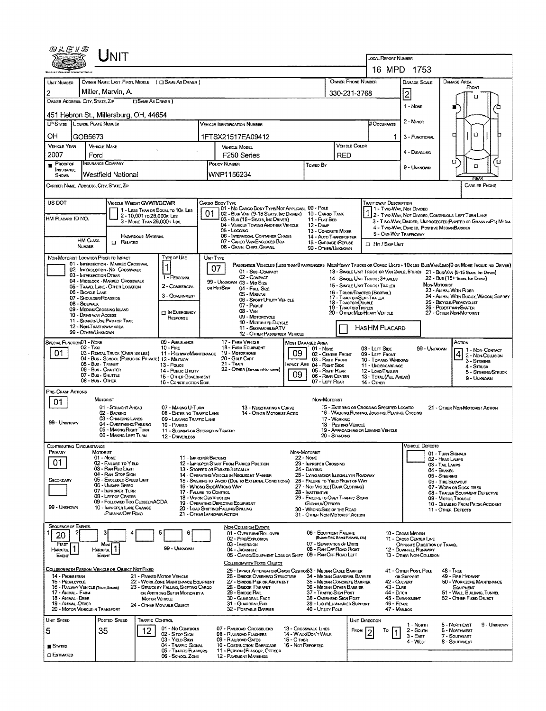|                                                                           | UNIT                                                                  |                                                                                |                                                                                                  |                                                        |                                                                             |                                                  |                                                                                                                                                                                |                                                                                                                                             |                                                                                                                               |  |  |  |
|---------------------------------------------------------------------------|-----------------------------------------------------------------------|--------------------------------------------------------------------------------|--------------------------------------------------------------------------------------------------|--------------------------------------------------------|-----------------------------------------------------------------------------|--------------------------------------------------|--------------------------------------------------------------------------------------------------------------------------------------------------------------------------------|---------------------------------------------------------------------------------------------------------------------------------------------|-------------------------------------------------------------------------------------------------------------------------------|--|--|--|
|                                                                           |                                                                       |                                                                                |                                                                                                  |                                                        |                                                                             |                                                  | <b>LOCAL REPORT NUMBER</b>                                                                                                                                                     | 16 MPD 1753                                                                                                                                 |                                                                                                                               |  |  |  |
|                                                                           |                                                                       |                                                                                |                                                                                                  |                                                        |                                                                             |                                                  |                                                                                                                                                                                |                                                                                                                                             |                                                                                                                               |  |  |  |
| UNIT NUMBER                                                               | Miller, Marvin, A.                                                    | OWNER NAME: LAST, FIRST, MIDDLE ( C) SAME AS DRIVER )                          |                                                                                                  |                                                        |                                                                             | OWNER PHONE NUMBER                               |                                                                                                                                                                                | <b>DAMAGE SCALE</b>                                                                                                                         | <b>DAMAGE AREA</b><br>FRONT                                                                                                   |  |  |  |
| $\overline{2}$<br>OWNER ADDRESS: CITY, STATE, ZIP                         |                                                                       | <b>SAME AS DRIVER</b> )                                                        |                                                                                                  |                                                        | 330-231-3768                                                                |                                                  | 2                                                                                                                                                                              | п                                                                                                                                           |                                                                                                                               |  |  |  |
|                                                                           | 451 Hebron St., Millersburg, OH, 44654                                |                                                                                |                                                                                                  |                                                        |                                                                             |                                                  |                                                                                                                                                                                | 1 - NONE                                                                                                                                    |                                                                                                                               |  |  |  |
| <b>LP STATE LICENSE PLATE NUMBER</b>                                      |                                                                       |                                                                                | VEHICLE IDENTIFICATION NUMBER                                                                    |                                                        |                                                                             |                                                  | # Occupants                                                                                                                                                                    | $2 -$ Minor                                                                                                                                 |                                                                                                                               |  |  |  |
| OН<br>GOB5673                                                             |                                                                       |                                                                                | 1FTSX21517EA09412                                                                                |                                                        |                                                                             |                                                  |                                                                                                                                                                                | 3 - FUNCTIONAL                                                                                                                              | α<br>о                                                                                                                        |  |  |  |
| <b>VEHICLE YEAR</b>                                                       | <b>VEHICLE MAKE</b>                                                   |                                                                                | VEHICLE MODEL                                                                                    |                                                        | <b>VEHICLE COLOR</b>                                                        |                                                  |                                                                                                                                                                                |                                                                                                                                             |                                                                                                                               |  |  |  |
| 2007                                                                      | Ford                                                                  |                                                                                | F250 Series                                                                                      |                                                        | <b>RED</b>                                                                  |                                                  | 4 - DISABLING                                                                                                                                                                  | ″⊡<br>α                                                                                                                                     |                                                                                                                               |  |  |  |
| $P$ Roof of<br><b>NSURANCE</b><br>SHDWN                                   | <b>INSURANCE COMPANY</b><br>Westfield National                        |                                                                                | POUCY NUMBER<br>WNP1156234                                                                       |                                                        | Towed By                                                                    |                                                  |                                                                                                                                                                                | 9 - UNKNOWN                                                                                                                                 | α<br>RGA                                                                                                                      |  |  |  |
| CARRIER NAME, ADDRESS, CITY, STATE, ZIP                                   |                                                                       |                                                                                |                                                                                                  |                                                        |                                                                             |                                                  |                                                                                                                                                                                |                                                                                                                                             | <b>CARRIER PHONE</b>                                                                                                          |  |  |  |
| US DOT                                                                    |                                                                       | <b>VEHICLE WEIGHT GVWR/GCWR</b>                                                | Cargo Body Type<br>01 - No CARGO BODY TYPE/NOT APPLICABL 09 - POLE                               |                                                        |                                                                             |                                                  | <b>TRAFFICWAY DESCRIPTION</b>                                                                                                                                                  |                                                                                                                                             |                                                                                                                               |  |  |  |
| HM PLACARD ID NO.                                                         |                                                                       | 1 - LESS THAN OR EQUAL TO 10K LBS<br>2 - 10,001 ro 26,000 k Les                | 02 - Busi Van (9-15 Seats, Inc Driver) 10 - Cargo Tank<br>03 - Bus (16+ Seats, Inc Driver)       |                                                        | 11 - FLAT BED                                                               |                                                  |                                                                                                                                                                                | 1 - Two-Way, Not Divideo<br>12 - Two-Way, Not Divided, Continuous Left Turn Lane                                                            |                                                                                                                               |  |  |  |
|                                                                           |                                                                       | 3 - MORE THAN 26,000K LBS.                                                     | 04 - VEHICLE TOWING ANOTHER VEHICLE<br>05 - Logging                                              |                                                        | 12 - Dump<br>13 - CONCRETE MIXER                                            |                                                  |                                                                                                                                                                                | 3 - Two-Way, Divided, UNPROTECTED (PAINTED OR GRASS >4FT.) MEDIA<br>4 - Two-Way, Divided, Positive Median Barrier<br>5 - ONE-WAY TRAFFICWAY |                                                                                                                               |  |  |  |
| <b>HM CLASS</b>                                                           | <b>CT</b> RELATED                                                     | <b>HAZARDOUS MATERIAL</b>                                                      | 06 - INTERMODAL CONTAINER CHASIS<br>07 - CARGO VAN ENCLOSED BOX                                  |                                                        | <b>14 - AUTO TRANSPORTER</b><br>15 - GARBAGE /REFUSE                        |                                                  |                                                                                                                                                                                |                                                                                                                                             |                                                                                                                               |  |  |  |
| <b>NUMBER</b>                                                             |                                                                       |                                                                                | 08 - GRAIN, CHIPS, GRAVEL                                                                        |                                                        | 99 - OTHER/UNKNOWN                                                          |                                                  | <b>I Hit / SKIP UNIT</b>                                                                                                                                                       |                                                                                                                                             |                                                                                                                               |  |  |  |
| NON-MOTORIST LOCATION PRIOR TO IMPACT                                     | 01 - INTERSECTION - MARKEO CROSSWAL                                   | TYPE OF USE                                                                    | UNIT TYPE                                                                                        |                                                        |                                                                             |                                                  |                                                                                                                                                                                |                                                                                                                                             | PASSENGER VEHICLES (LESS THAN 9 PASSENGERS MEDIMEANY TRUCKS OR COMBO UNITS > 10x LBS BUS/VAN/LINO(9 OR MORE INCLUDING DRIVER) |  |  |  |
|                                                                           | 02 - INTERSECTION - NO CROSSWALK<br>03 - INTERSECTION OTHER           | 1 - PERSONAL                                                                   | 07<br>01 - Sus-Compact<br>02 - COMPACT                                                           |                                                        |                                                                             |                                                  | 14 - SINGLE UNIT TRUCK: 3+ AXLES                                                                                                                                               |                                                                                                                                             | 13 - SINGLE UNIT TRUCK OR VAN ZAXLE, 6 TIRES 21 - BUS/VAN (9-15 SEATS, INC DRIVER)<br>22 - Bus (16+ Seats, Inc Draver)        |  |  |  |
|                                                                           | 04 - MIDBLOCK - MARKED CROSSWALK<br>05 - TRAVEL LANE - OTHER LOCATION | 2 - COMMERCIAL                                                                 | 99 - UNKNOWN 03 - Mip Size<br>OR HIT/SKIP<br>04 - Fuu, Size                                      |                                                        |                                                                             |                                                  | NON MOTORIST<br>15 - SINGLE UNIT TRUCK/ TRAILER<br>23 - ANIMAL WITH RIDER<br>16 - TRUCK/TRACTOR (BOBTAIL)<br>24 - ANIMAL WITH BUGGY, WAGON, SURREY<br>25 - BIOYCLE/PEDACYCLIST |                                                                                                                                             |                                                                                                                               |  |  |  |
| 06 - BICYCLE LANE                                                         | 07 - SHOULDER/ROADSIDE                                                | 3 - GOVERNMENT                                                                 | 05 - Minavan<br>06 - SPORT UTIUTY VEHICLE                                                        |                                                        |                                                                             | 17 - TRACTOR/SEMI-TRAILER<br>18 - Tractor/Double |                                                                                                                                                                                |                                                                                                                                             |                                                                                                                               |  |  |  |
| 08 - Sidewalk                                                             | 09 - MEDIAN/CROSSING ISLAND                                           | <b>CI IN EMERGENCY</b>                                                         | 07 - Pickup<br>$08 - VAN$                                                                        |                                                        |                                                                             | 19 - TRACTOR/TRIPLES                             | 26 - PEDESTRIAN/SKATER<br>20 - OTHER MEDIHEAVY VEHICLE<br>27 - OTHER NON-MOTORIST                                                                                              |                                                                                                                                             |                                                                                                                               |  |  |  |
|                                                                           | 10 - DRIVE WAY ACCESS<br>11 - SHARED-USE PATH OR TRAIL                | RESPONSE                                                                       | 09 - MOTORCYCLE<br>10 - MOTORIZED BICYCLE                                                        |                                                        |                                                                             |                                                  |                                                                                                                                                                                |                                                                                                                                             |                                                                                                                               |  |  |  |
|                                                                           | 12 - NON-TRAFFICWAY AREA<br>99 - OTHER/UNKNOWN                        |                                                                                | 11 - SNOWMOBILE/ATV<br>12 - OTHER PASSENGER VEHICLE                                              |                                                        |                                                                             |                                                  | HASHM PLACARD                                                                                                                                                                  |                                                                                                                                             |                                                                                                                               |  |  |  |
| SPECIAL FUNCTION 01 - NONE<br>$02 - TAA$                                  |                                                                       | 09 - AMBULANCE<br>$10 -$ Figs.                                                 | 17 - FARM VEHICLE<br>18 - FARM EQUIPMENT                                                         | <b>MOST DAMAGED AREA</b>                               | 01 - None                                                                   |                                                  | 08 - LEFT SIDE                                                                                                                                                                 | 99 - Unknown                                                                                                                                | ACTION<br>1 - NON-CONTACT                                                                                                     |  |  |  |
| 01                                                                        | 03 - RENTAL TRUCK (OVER 10KLBS)                                       | 11 - HIGHWAY/MAINTENANCE<br>04 - Bus - SCHOOL (PUBUC OR PRIVATE) 12 - MILITARY | 19 - Мотояноме<br>20 - Golf Cart                                                                 | 09                                                     | 02 - CENTER FRONT<br>03 - Right Front                                       |                                                  | 09 - LEFT FRONT<br>10 - TOP AND WINDOWS                                                                                                                                        |                                                                                                                                             | 4<br>2 - Non-Colusion<br>3 - STRIKING                                                                                         |  |  |  |
|                                                                           | 05 - Bus - Transit<br>06 - Bus - Charter                              | 13 - Pouce<br>14 - Pusuc Unury                                                 | 21 - TRAIN<br>22 - OTHER (EXPLAIN IN NARRATIVE)                                                  | 09                                                     | IMPACT ARE 04 - RIGHT SIDE<br>05 - Right Rear                               |                                                  | 11 - UNDERCARRIAGE<br>12 - LOAD/TRAILER                                                                                                                                        |                                                                                                                                             | 4 - Struck<br>5 - STRIKING/STRUCK                                                                                             |  |  |  |
|                                                                           | 07 - Bus - SHUTTLE<br>08 - Bus - OTHER                                | 15 - OTHER GOVERNMENT<br>16 - CONSTRUCTION EOIP.                               |                                                                                                  |                                                        | 06 - REAR CENTER<br>07 - LEFT REAR                                          |                                                  | 13 - TOTAL (ALL AREAS)<br>14 - Отнев                                                                                                                                           |                                                                                                                                             | 9 - Univerown                                                                                                                 |  |  |  |
| PRE-CRASH ACTIONS                                                         | MOTORIST                                                              |                                                                                |                                                                                                  |                                                        |                                                                             |                                                  |                                                                                                                                                                                |                                                                                                                                             |                                                                                                                               |  |  |  |
| 01                                                                        | 01 - STRAIGHT AHEAD                                                   | 07 - MAKING U-TURN                                                             | 13 - NEGOTIATING A CURVE                                                                         |                                                        | NON-MOTORIST                                                                |                                                  | 15 - ENTERING OR CROSSING SPECIFIED LOCATIO                                                                                                                                    |                                                                                                                                             | 21 - OTHER NON-MOTORIST ACTION                                                                                                |  |  |  |
| 99 - UNKNOWN                                                              | 02 - BACKING<br>03 - CHANGING LANES                                   | 08 - ENTERING TRAFFIC LANE<br>09 - LEAVING TRAFFIC LANE                        | 14 - Other Motorist Actio                                                                        |                                                        | 17 - WORKING                                                                | 16 - WALKING, RUMMING, JOGGING, PLAYING, CYCLING |                                                                                                                                                                                |                                                                                                                                             |                                                                                                                               |  |  |  |
|                                                                           | 04 - OVERTAKING/PASSING<br>05 - MAKING RIGHT TURN                     | 10 - PARKED<br>11 - SLOWING OR STOPPED IN TRAFFIC                              |                                                                                                  |                                                        | 18 - PUSHING VEHICLE                                                        |                                                  | 19 - APPROACHING OR LEAVING VEHICLE                                                                                                                                            |                                                                                                                                             |                                                                                                                               |  |  |  |
|                                                                           | 06 - MAKING LEFT TURN                                                 | 12 - DRIVERLESS                                                                |                                                                                                  |                                                        | 20 - STANDING                                                               |                                                  |                                                                                                                                                                                |                                                                                                                                             |                                                                                                                               |  |  |  |
| Contributing Circumstance<br>PRIMARY                                      | MOTORIST<br>$01 - None$                                               |                                                                                | 11 - IMPROPER BACKING                                                                            | NON-MOTORIST<br>22 - None                              |                                                                             |                                                  |                                                                                                                                                                                | Vehicle Defects                                                                                                                             | 01 - TURN SIGNALS                                                                                                             |  |  |  |
| 01                                                                        | 02 - FAILURE TO YIELD<br>03 - Ray Reo Light                           |                                                                                | 12 - IMPROPER START FROM PARKED POSITION<br>13 - STOPPED OR PARKED ILLEGALLY                     | 24 - DARTING                                           | 23 - IMPROPER CROSSING                                                      |                                                  |                                                                                                                                                                                |                                                                                                                                             | 02 - HEAD LAMPS<br>03 - TAIL LAMPS                                                                                            |  |  |  |
| SECONDARY                                                                 | 04 - RAN STOP SIGN<br>05 - Exceedeo Speed Limit                       |                                                                                | 14 - OPERATING VEHICLE IN NEGLIGENT MANNER<br>15 - SWERING TO AVOID (DUE TO EXTERNAL CONDITIONS) |                                                        | 25 - LYING AND/OR LLEGALLY IN ROADWAY<br>26 - FALURE TO YIELD RIGHT OF WAY  |                                                  |                                                                                                                                                                                |                                                                                                                                             | 04 - BRAKES<br>05 - STEERING                                                                                                  |  |  |  |
|                                                                           | 06 - UNSAFE SPEED<br>07 - IMPROPER TURN                               |                                                                                | 16 - WRONG SIDE/WRONG WAY<br>17 - FALURE TO CONTROL                                              |                                                        | 27 - NOT VISIBLE (DARK CLOTHING)<br>28 - Inattentive                        |                                                  | 06 - TIRE BLOWOUT<br>07 - WORN OR SLICK TRES<br>08 - TRAILER EQUIPMENT DEFECTIVE                                                                                               |                                                                                                                                             |                                                                                                                               |  |  |  |
|                                                                           | 08 - LEFT OF CENTER<br>09 - FOLLOWED TOO CLOSELY/ACDA                 |                                                                                | 18 - VISION OBSTRUCTION<br>19 - OPERATING DEFECTIVE EQUIPMENT                                    | 29 - FAILURE TO OBEY TRAFFIC SIGNS<br>/Signals/Officer |                                                                             | 09 - MOTOR TROUBLE                               |                                                                                                                                                                                |                                                                                                                                             |                                                                                                                               |  |  |  |
| 99 - UNKNOWN                                                              | 10 - IMPROPER LANE CHANGE<br>PASSING OFF ROAD                         |                                                                                | 20 - LOAD SHIFTING/FALLING/SPILLING<br>21 - OTHER IMPROPER ACTION                                |                                                        | 30 - WRONG SIDE OF THE ROAD<br>31 - OTHER NON-MOTORIST ACTION               |                                                  |                                                                                                                                                                                |                                                                                                                                             | 10 - DISABLED FROM PRIOR ACCIDENT<br>11 - OTHER DEFECTS                                                                       |  |  |  |
| <b>SEQUENCE OF EVENTS</b>                                                 |                                                                       |                                                                                | <b>NON-COLLISION EVENTS</b>                                                                      |                                                        |                                                                             |                                                  |                                                                                                                                                                                |                                                                                                                                             |                                                                                                                               |  |  |  |
| 20                                                                        |                                                                       | 5<br>6                                                                         | 01 - OVERTURN/ROLLOVER<br>02 - FIRE/EXPLOSION                                                    |                                                        | 06 - EQUIPMENT FAILURE<br>(BLOWN TIRE, BRAKE FAILURE, ETC)                  |                                                  |                                                                                                                                                                                | 10 - Cross Median<br>11 - Cross CENTER LINE                                                                                                 |                                                                                                                               |  |  |  |
| FIRST<br><b>HARMFUL</b>                                                   | Most<br>HARMFUL <sup>1</sup>                                          | 99 - UNKNOWN                                                                   | 03 - IMMERSION<br>04 - JACKKNIFE                                                                 |                                                        | 07 - SEPARATION OF UNITS<br>08 - RAN OFF ROAD RIGHT                         |                                                  |                                                                                                                                                                                | OPPOSITE DIRECTION OF TRAVEL<br>12 - DOWNHILL RUNAWAY                                                                                       |                                                                                                                               |  |  |  |
| EVENT                                                                     | Event                                                                 |                                                                                | 05 - CARGO/EQUIPMENT LOSS OR SHIFT 09 - RAN OFF ROAD LEFT<br>COLUSION WITH FIXED, OBJECT         |                                                        |                                                                             |                                                  |                                                                                                                                                                                | 13 - OTHER NON-COLLISION                                                                                                                    |                                                                                                                               |  |  |  |
|                                                                           | COLLISION WITH PERSON, VEHICLE OR OBJECT NOT FIXED                    |                                                                                | 25 - IMPACT ATTENUATOR/CRASH CUSHION33 - MEDIAN CABLE BARRIER                                    |                                                        |                                                                             |                                                  |                                                                                                                                                                                | 41 - OTHER POST, POLE                                                                                                                       | 48 - TREE                                                                                                                     |  |  |  |
| 14 - PEDESTRIAN<br>15 - PEDALCYCLE                                        |                                                                       | 21 - PARKED MOTOR VEHICLE<br>22 - WORK ZONE MAINTENANCE EQUIPMENT              | 26 - BRIDGE OVERHEAD STRUCTURE<br>27 - BRIDGE PIER OR ABUTMENT                                   |                                                        | 34 - MEDIAN GUARDRAIL BARRIER<br>35 - MEDIAN CONCRETE BARRIER               |                                                  | 42 - CULVERT                                                                                                                                                                   | OR SUPPORT                                                                                                                                  | 49 - FIRE HYDRANT<br>50 - WORKZONE MAINTENANCE                                                                                |  |  |  |
| 16 - RAILWAY VEHICLE (TRAIR, ENGINE)<br>17 - Animal - Farm                |                                                                       | 23 - STRUCK BY FALLING, SHIFTING CARGO<br>or Anything Set in Motion by a       | 28 - BRIDGE PARAPET<br>29 - Bridge Rail                                                          |                                                        | 36 - MEDIAN OTHER BARRIER<br>37 - TRAFFIC SIGN POST                         |                                                  | 43 - Curs<br>44 - Опси                                                                                                                                                         |                                                                                                                                             | EQUIPMENT<br>51 - WALL, BUILDING, TUNNEL                                                                                      |  |  |  |
| 18 - ANIMAL - DEER<br>19 - ANMAL-OTHER<br>20 - MOTOR VEHICLE IN TRANSPORT |                                                                       | <b>MOTOR VEHICLE</b><br>24 - OTHER MOVABLE OBJECT                              | 30 - GUARDRAIL FACE<br>31 - GUARDRAILEND<br>32 - PORTABLE BARRIER                                |                                                        | 38 - OVERHEAD SIGN POST<br>39 - LIGHT/LUMINARIES SUPPORT<br>40 - Unury Pous |                                                  | 46 - FENCE<br>47 - MAILBOX                                                                                                                                                     | 45 - EMBANKMENT                                                                                                                             | 52 - OTHER FIXED OBJECT                                                                                                       |  |  |  |
| UNIT SPEED                                                                | Posteo Speed                                                          | TRAFFIC CONTROL                                                                |                                                                                                  |                                                        |                                                                             | UNIT DIRECTION                                   |                                                                                                                                                                                |                                                                                                                                             |                                                                                                                               |  |  |  |
| 5                                                                         | 35                                                                    | 01 - No CONTROLS<br>12                                                         | 07 - RAILROAD CROSSBUCKS                                                                         | 13 - Crosswalk Lines                                   |                                                                             | FROM                                             | īο                                                                                                                                                                             | 1 - Norm<br>2 - Soum                                                                                                                        | 5 - NORTHEAST<br>9 - UNKNOWN<br><b>6 - NORTHWEST</b>                                                                          |  |  |  |
|                                                                           |                                                                       | 02 - S rop Sign<br>03 - YIELD SIGN                                             | 08 - RAILROAD FLASHERS<br>09 - RAILROAD GATES                                                    | 14 - WALK/DON'T WALK<br>15 - Отнев                     |                                                                             |                                                  |                                                                                                                                                                                | 3 East<br>4 - West                                                                                                                          | 7 - SOUTHEAST<br>8 - Southwest                                                                                                |  |  |  |
| <b>STATED</b><br><b>CI ESTIMATED</b>                                      |                                                                       | 04 - TRAFFIC SIGNAL<br>05 - TRAFFIC FLASHERS                                   | 10 - COSTRUCTION BARRICADE<br>11 - PERSON (FLAGGER, OFFICER                                      | 16 - Not REPORTED                                      |                                                                             |                                                  |                                                                                                                                                                                |                                                                                                                                             |                                                                                                                               |  |  |  |
|                                                                           |                                                                       | 06 - SCHOOL ZONE                                                               | <b>12 - PAVEMENT MARKINGS</b>                                                                    |                                                        |                                                                             |                                                  |                                                                                                                                                                                |                                                                                                                                             |                                                                                                                               |  |  |  |